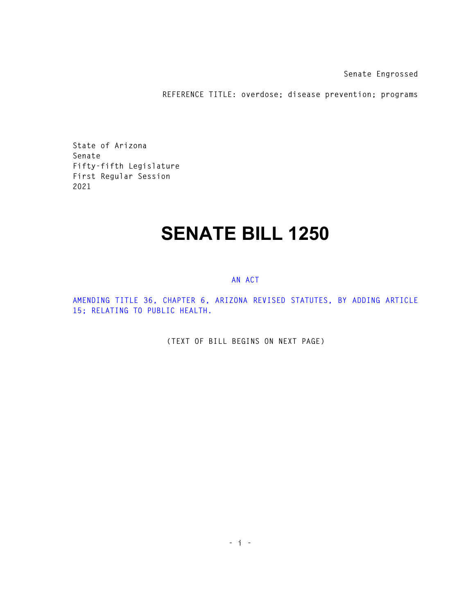**Senate Engrossed** 

**REFERENCE TITLE: overdose; disease prevention; programs** 

**State of Arizona Senate Fifty-fifth Legislature First Regular Session 2021** 

## **SENATE BILL 1250**

## **AN ACT**

**AMENDING TITLE 36, CHAPTER 6, ARIZONA REVISED STATUTES, BY ADDING ARTICLE 15; RELATING TO PUBLIC HEALTH.** 

**(TEXT OF BILL BEGINS ON NEXT PAGE)**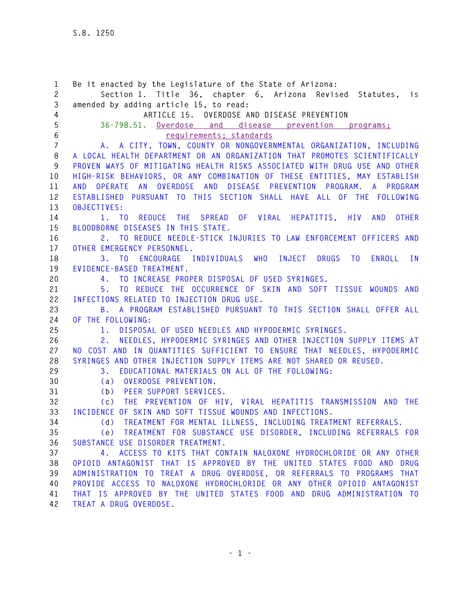**1 Be it enacted by the Legislature of the State of Arizona: 2 Section 1. Title 36, chapter 6, Arizona Revised Statutes, is 3 amended by adding article 15, to read: 4 ARTICLE 15. OVERDOSE AND DISEASE PREVENTION 5 36-798.51. Overdose and disease prevention programs; 6 requirements; standards 7 A. A CITY, TOWN, COUNTY OR NONGOVERNMENTAL ORGANIZATION, INCLUDING 8 A LOCAL HEALTH DEPARTMENT OR AN ORGANIZATION THAT PROMOTES SCIENTIFICALLY 9 PROVEN WAYS OF MITIGATING HEALTH RISKS ASSOCIATED WITH DRUG USE AND OTHER 10 HIGH-RISK BEHAVIORS, OR ANY COMBINATION OF THESE ENTITIES, MAY ESTABLISH 11 AND OPERATE AN OVERDOSE AND DISEASE PREVENTION PROGRAM. A PROGRAM 12 ESTABLISHED PURSUANT TO THIS SECTION SHALL HAVE ALL OF THE FOLLOWING 13 OBJECTIVES: 14 1. TO REDUCE THE SPREAD OF VIRAL HEPATITIS, HIV AND OTHER 15 BLOODBORNE DISEASES IN THIS STATE. 16 2. TO REDUCE NEEDLE-STICK INJURIES TO LAW ENFORCEMENT OFFICERS AND 17 OTHER EMERGENCY PERSONNEL. 18 3. TO ENCOURAGE INDIVIDUALS WHO INJECT DRUGS TO ENROLL IN 19 EVIDENCE-BASED TREATMENT. 20 4. TO INCREASE PROPER DISPOSAL OF USED SYRINGES. 21 5. TO REDUCE THE OCCURRENCE OF SKIN AND SOFT TISSUE WOUNDS AND 22 INFECTIONS RELATED TO INJECTION DRUG USE. 23 B. A PROGRAM ESTABLISHED PURSUANT TO THIS SECTION SHALL OFFER ALL 24 OF THE FOLLOWING: 25 1. DISPOSAL OF USED NEEDLES AND HYPODERMIC SYRINGES. 26 2. NEEDLES, HYPODERMIC SYRINGES AND OTHER INJECTION SUPPLY ITEMS AT 27 NO COST AND IN QUANTITIES SUFFICIENT TO ENSURE THAT NEEDLES, HYPODERMIC 28 SYRINGES AND OTHER INJECTION SUPPLY ITEMS ARE NOT SHARED OR REUSED. 29 3. EDUCATIONAL MATERIALS ON ALL OF THE FOLLOWING: 30 (a) OVERDOSE PREVENTION. 31 (b) PEER SUPPORT SERVICES. 32 (c) THE PREVENTION OF HIV, VIRAL HEPATITIS TRANSMISSION AND THE 33 INCIDENCE OF SKIN AND SOFT TISSUE WOUNDS AND INFECTIONS. 34 (d) TREATMENT FOR MENTAL ILLNESS, INCLUDING TREATMENT REFERRALS. 35 (e) TREATMENT FOR SUBSTANCE USE DISORDER, INCLUDING REFERRALS FOR 36 SUBSTANCE USE DISORDER TREATMENT. 37 4. ACCESS TO KITS THAT CONTAIN NALOXONE HYDROCHLORIDE OR ANY OTHER 38 OPIOID ANTAGONIST THAT IS APPROVED BY THE UNITED STATES FOOD AND DRUG 39 ADMINISTRATION TO TREAT A DRUG OVERDOSE, OR REFERRALS TO PROGRAMS THAT 40 PROVIDE ACCESS TO NALOXONE HYDROCHLORIDE OR ANY OTHER OPIOID ANTAGONIST 41 THAT IS APPROVED BY THE UNITED STATES FOOD AND DRUG ADMINISTRATION TO 42 TREAT A DRUG OVERDOSE.**